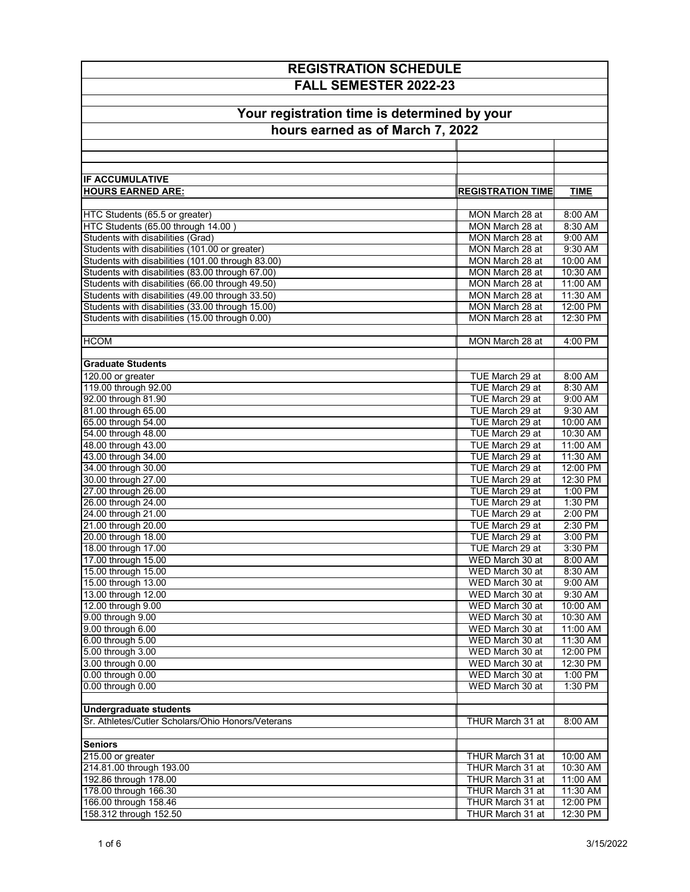| <b>REGISTRATION SCHEDULE</b>                                                                         |                                      |                      |  |  |                                  |  |  |
|------------------------------------------------------------------------------------------------------|--------------------------------------|----------------------|--|--|----------------------------------|--|--|
| FALL SEMESTER 2022-23<br>Your registration time is determined by your                                |                                      |                      |  |  |                                  |  |  |
|                                                                                                      |                                      |                      |  |  |                                  |  |  |
|                                                                                                      |                                      |                      |  |  | hours earned as of March 7, 2022 |  |  |
|                                                                                                      |                                      |                      |  |  |                                  |  |  |
|                                                                                                      |                                      |                      |  |  |                                  |  |  |
| <b>IF ACCUMULATIVE</b>                                                                               |                                      |                      |  |  |                                  |  |  |
| <b>HOURS EARNED ARE:</b>                                                                             | <b>REGISTRATION TIME</b>             | <b>TIME</b>          |  |  |                                  |  |  |
|                                                                                                      |                                      |                      |  |  |                                  |  |  |
| HTC Students (65.5 or greater)                                                                       | MON March 28 at                      | 8:00 AM              |  |  |                                  |  |  |
| HTC Students (65.00 through 14.00)                                                                   | MON March 28 at                      | 8:30 AM              |  |  |                                  |  |  |
| <b>Students with disabilities (Grad)</b>                                                             | MON March 28 at                      | 9:00 AM              |  |  |                                  |  |  |
| Students with disabilities (101.00 or greater)                                                       | MON March 28 at                      | 9:30 AM              |  |  |                                  |  |  |
| Students with disabilities (101.00 through 83.00)                                                    | MON March 28 at                      | 10:00 AM             |  |  |                                  |  |  |
| Students with disabilities (83.00 through 67.00)                                                     | MON March 28 at<br>MON March 28 at   | 10:30 AM             |  |  |                                  |  |  |
| Students with disabilities (66.00 through 49.50)<br>Students with disabilities (49.00 through 33.50) | MON March 28 at                      | 11:00 AM<br>11:30 AM |  |  |                                  |  |  |
| Students with disabilities (33.00 through 15.00)                                                     | MON March 28 at                      | 12:00 PM             |  |  |                                  |  |  |
| Students with disabilities (15.00 through 0.00)                                                      | MON March 28 at                      | 12:30 PM             |  |  |                                  |  |  |
|                                                                                                      |                                      |                      |  |  |                                  |  |  |
| <b>HCOM</b>                                                                                          | MON March 28 at                      | 4:00 PM              |  |  |                                  |  |  |
|                                                                                                      |                                      |                      |  |  |                                  |  |  |
| <b>Graduate Students</b>                                                                             |                                      |                      |  |  |                                  |  |  |
| 120.00 or greater                                                                                    | TUE March 29 at                      | 8:00 AM              |  |  |                                  |  |  |
| 119.00 through 92.00                                                                                 | TUE March 29 at                      | 8:30 AM              |  |  |                                  |  |  |
| 92.00 through 81.90                                                                                  | TUE March 29 at<br>TUE March 29 at   | 9:00 AM<br>9:30 AM   |  |  |                                  |  |  |
| 81.00 through 65.00<br>65.00 through 54.00                                                           | TUE March 29 at                      | 10:00 AM             |  |  |                                  |  |  |
| 54.00 through 48.00                                                                                  | TUE March 29 at                      | 10:30 AM             |  |  |                                  |  |  |
| 48.00 through 43.00                                                                                  | TUE March 29 at                      | 11:00 AM             |  |  |                                  |  |  |
| 43.00 through 34.00                                                                                  | TUE March 29 at                      | 11:30 AM             |  |  |                                  |  |  |
| 34.00 through 30.00                                                                                  | TUE March 29 at                      | 12:00 PM             |  |  |                                  |  |  |
| 30.00 through 27.00                                                                                  | TUE March 29 at                      | 12:30 PM             |  |  |                                  |  |  |
| 27.00 through 26.00                                                                                  | TUE March 29 at                      | 1:00 PM              |  |  |                                  |  |  |
| 26.00 through 24.00                                                                                  | TUE March 29 at                      | $1:30$ PM            |  |  |                                  |  |  |
| 24.00 through 21.00                                                                                  | TUE March 29 at                      | 2:00 PM              |  |  |                                  |  |  |
| 21.00 through 20.00<br>20.00 through 18.00                                                           | TUE March 29 at<br>TUE March 29 at   | 2:30 PM<br>3:00 PM   |  |  |                                  |  |  |
| 18.00 through 17.00                                                                                  | TUE March 29 at                      | 3:30 PM              |  |  |                                  |  |  |
| 17.00 through 15.00                                                                                  | WED March 30 at                      | 8:00 AM              |  |  |                                  |  |  |
| 15.00 through 15.00                                                                                  | WED March 30 at                      | 8:30 AM              |  |  |                                  |  |  |
| 15.00 through 13.00                                                                                  | WED March 30 at                      | 9:00 AM              |  |  |                                  |  |  |
| 13.00 through 12.00                                                                                  | WED March 30 at                      | 9:30 AM              |  |  |                                  |  |  |
| 12.00 through 9.00                                                                                   | WED March 30 at                      | 10:00 AM             |  |  |                                  |  |  |
| 9.00 through 9.00                                                                                    | WED March 30 at                      | 10:30 AM             |  |  |                                  |  |  |
| 9.00 through 6.00                                                                                    | WED March 30 at                      | 11:00 AM             |  |  |                                  |  |  |
| 6.00 through 5.00                                                                                    | WED March 30 at                      | 11:30 AM             |  |  |                                  |  |  |
| 5.00 through 3.00<br>3.00 through 0.00                                                               | WED March 30 at<br>WED March 30 at   | 12:00 PM<br>12:30 PM |  |  |                                  |  |  |
| 0.00 through 0.00                                                                                    | WED March 30 at                      | 1:00 PM              |  |  |                                  |  |  |
| 0.00 through 0.00                                                                                    | WED March 30 at                      | 1:30 PM              |  |  |                                  |  |  |
|                                                                                                      |                                      |                      |  |  |                                  |  |  |
| <b>Undergraduate students</b>                                                                        |                                      |                      |  |  |                                  |  |  |
| Sr. Athletes/Cutler Scholars/Ohio Honors/Veterans                                                    | THUR March 31 at                     | 8:00 AM              |  |  |                                  |  |  |
|                                                                                                      |                                      |                      |  |  |                                  |  |  |
| <b>Seniors</b>                                                                                       |                                      |                      |  |  |                                  |  |  |
| 215.00 or greater                                                                                    | THUR March 31 at                     | 10:00 AM             |  |  |                                  |  |  |
| 214.81.00 through 193.00                                                                             | THUR March 31 at                     | 10:30 AM             |  |  |                                  |  |  |
| 192.86 through 178.00                                                                                | THUR March 31 at                     | 11:00 AM             |  |  |                                  |  |  |
| 178.00 through 166.30<br>166.00 through 158.46                                                       | THUR March 31 at<br>THUR March 31 at | 11:30 AM<br>12:00 PM |  |  |                                  |  |  |
| 158.312 through 152.50                                                                               | THUR March 31 at                     | 12:30 PM             |  |  |                                  |  |  |
|                                                                                                      |                                      |                      |  |  |                                  |  |  |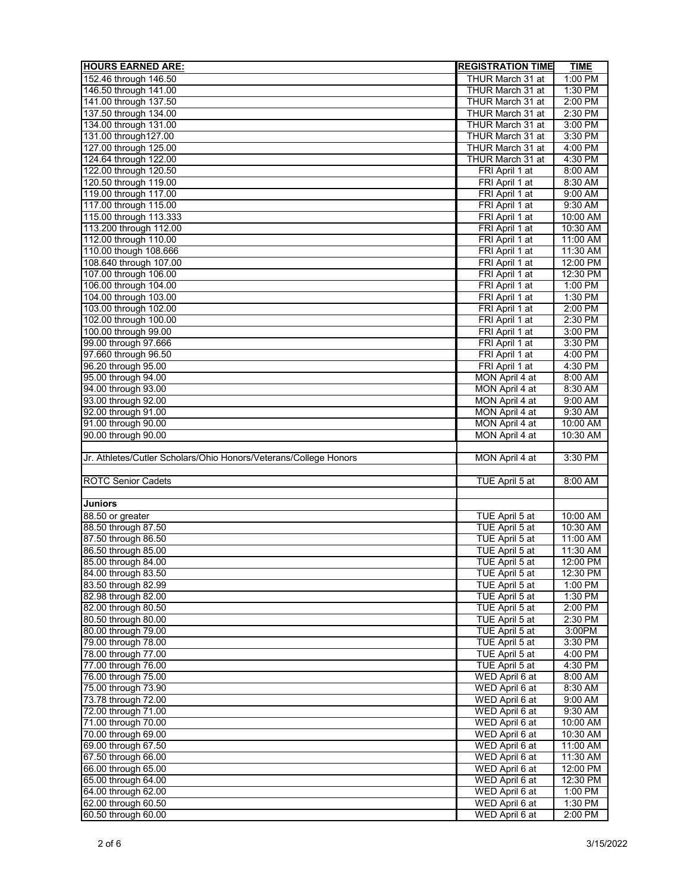| <b>HOURS EARNED ARE:</b>                                         | <b>REGISTRATION TIME</b> | <b>TIME</b> |
|------------------------------------------------------------------|--------------------------|-------------|
| 152.46 through 146.50                                            | THUR March 31 at         | 1:00 PM     |
| 146.50 through 141.00                                            | THUR March 31 at         | 1:30 PM     |
| 141.00 through 137.50                                            | THUR March 31 at         | 2:00 PM     |
| 137.50 through 134.00                                            | THUR March 31 at         | 2:30 PM     |
| 134.00 through 131.00                                            | THUR March 31 at         | 3:00 PM     |
| 131.00 through 127.00                                            | THUR March 31 at         | 3:30 PM     |
| 127.00 through 125.00                                            | THUR March 31 at         | 4:00 PM     |
| 124.64 through 122.00                                            | THUR March 31 at         | 4:30 PM     |
| 122.00 through 120.50                                            | FRI April 1 at           | 8:00 AM     |
| 120.50 through 119.00                                            | FRI April 1 at           | 8:30 AM     |
| 119.00 through 117.00                                            | FRI April 1 at           | 9:00 AM     |
| 117.00 through 115.00                                            | FRI April 1 at           | 9:30 AM     |
| 115.00 through 113.333                                           | FRI April 1 at           | 10:00 AM    |
| 113.200 through 112.00                                           | FRI April 1 at           | 10:30 AM    |
| 112.00 through 110.00                                            | FRI April 1 at           | 11:00 AM    |
| 110.00 though 108.666                                            | FRI April 1 at           | 11:30 AM    |
| 108.640 through 107.00                                           | FRI April 1 at           | 12:00 PM    |
| 107.00 through 106.00                                            | FRI April 1 at           | 12:30 PM    |
| 106.00 through 104.00                                            | FRI April 1 at           | 1:00 PM     |
| 104.00 through 103.00                                            | FRI April 1 at           | 1:30 PM     |
| 103.00 through 102.00                                            | FRI April 1 at           | 2:00 PM     |
| 102.00 through 100.00                                            | FRI April 1 at           | 2:30 PM     |
| 100.00 through 99.00                                             | FRI April 1 at           | 3:00 PM     |
| 99.00 through 97.666                                             | FRI April 1 at           | 3:30 PM     |
| 97.660 through 96.50                                             | FRI April 1 at           | 4:00 PM     |
| 96.20 through 95.00                                              | FRI April 1 at           | 4:30 PM     |
| 95.00 through 94.00                                              | MON April 4 at           | 8:00 AM     |
| 94.00 through 93.00                                              | MON April 4 at           | 8:30 AM     |
| 93.00 through 92.00                                              | MON April 4 at           | 9:00 AM     |
| 92.00 through 91.00                                              | MON April 4 at           | 9:30 AM     |
| 91.00 through 90.00                                              | MON April 4 at           | 10:00 AM    |
| 90.00 through 90.00                                              | MON April 4 at           | 10:30 AM    |
|                                                                  |                          |             |
| Jr. Athletes/Cutler Scholars/Ohio Honors/Veterans/College Honors | MON April 4 at           | 3:30 PM     |
|                                                                  |                          |             |
| <b>ROTC Senior Cadets</b>                                        | TUE April 5 at           | 8:00 AM     |
|                                                                  |                          |             |
| <b>Juniors</b>                                                   |                          |             |
| 88.50 or greater                                                 | TUE April 5 at           | 10:00 AM    |
| 88.50 through 87.50                                              | TUE April 5 at           | 10:30 AM    |
| 87.50 through 86.50                                              | TUE April 5 at           | 11:00 AM    |
| 86.50 through 85.00                                              |                          | 11:30 AM    |
|                                                                  | TUE April 5 at           | 12:00 PM    |
| 85.00 through 84.00                                              | TUE April 5 at           |             |
| 84.00 through 83.50                                              | TUE April 5 at           | 12:30 PM    |
| 83.50 through 82.99                                              | TUE April 5 at           | 1:00 PM     |
| 82.98 through 82.00                                              | TUE April 5 at           | $1:30$ PM   |
| 82.00 through 80.50                                              | TUE April 5 at           | $2:00$ PM   |
| 80.50 through 80.00                                              | TUE April 5 at           | 2:30 PM     |
| 80.00 through 79.00                                              | TUE April 5 at           | 3:00PM      |
| 79.00 through 78.00                                              | TUE April 5 at           | 3:30 PM     |
| 78.00 through 77.00                                              | TUE April 5 at           | 4:00 PM     |
| 77.00 through 76.00                                              | TUE April 5 at           | 4:30 PM     |
| 76.00 through 75.00                                              | WED April 6 at           | 8:00 AM     |
| 75.00 through 73.90                                              | WED April 6 at           | 8:30 AM     |
| 73.78 through 72.00                                              | WED April 6 at           | 9:00 AM     |
| 72.00 through 71.00                                              | WED April 6 at           | 9:30 AM     |
| 71.00 through 70.00                                              | WED April 6 at           | 10:00 AM    |
| 70.00 through 69.00                                              | WED April 6 at           | 10:30 AM    |
| 69.00 through 67.50                                              | WED April 6 at           | 11:00 AM    |
| 67.50 through 66.00                                              | WED April 6 at           | 11:30 AM    |
| 66.00 through 65.00                                              | WED April 6 at           | 12:00 PM    |
| 65.00 through 64.00                                              | WED April 6 at           | 12:30 PM    |
| 64.00 through 62.00                                              | WED April 6 at           | 1:00 PM     |
| 62.00 through 60.50                                              | WED April 6 at           | 1:30 PM     |
| 60.50 through 60.00                                              | WED April 6 at           | 2:00 PM     |